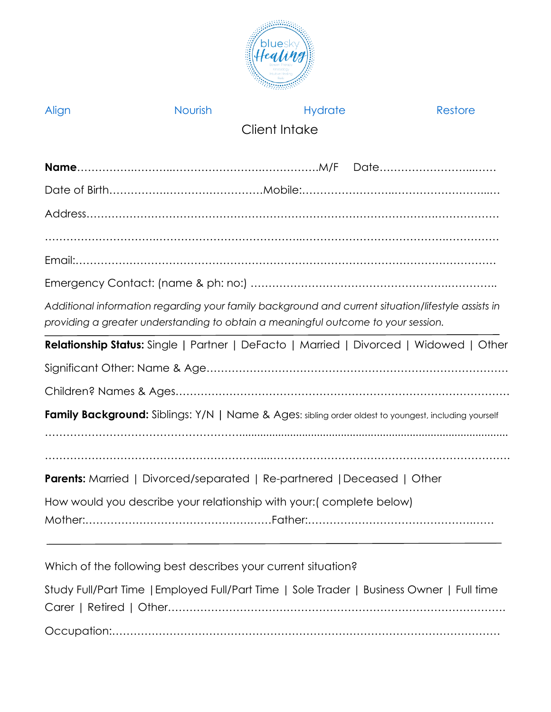

| Align                                                                                                                                                                                   | Nourish                                                                        | <b>Hydrate</b> | Restore                                                                                              |  |  |
|-----------------------------------------------------------------------------------------------------------------------------------------------------------------------------------------|--------------------------------------------------------------------------------|----------------|------------------------------------------------------------------------------------------------------|--|--|
|                                                                                                                                                                                         |                                                                                | Client Intake  |                                                                                                      |  |  |
|                                                                                                                                                                                         |                                                                                |                | Date                                                                                                 |  |  |
|                                                                                                                                                                                         |                                                                                |                |                                                                                                      |  |  |
|                                                                                                                                                                                         |                                                                                |                |                                                                                                      |  |  |
|                                                                                                                                                                                         |                                                                                |                |                                                                                                      |  |  |
|                                                                                                                                                                                         |                                                                                |                |                                                                                                      |  |  |
|                                                                                                                                                                                         |                                                                                |                |                                                                                                      |  |  |
| Additional information regarding your family background and current situation/lifestyle assists in<br>providing a greater understanding to obtain a meaningful outcome to your session. |                                                                                |                |                                                                                                      |  |  |
|                                                                                                                                                                                         |                                                                                |                | Relationship Status: Single   Partner   DeFacto   Married   Divorced   Widowed   Other               |  |  |
|                                                                                                                                                                                         |                                                                                |                |                                                                                                      |  |  |
|                                                                                                                                                                                         |                                                                                |                |                                                                                                      |  |  |
|                                                                                                                                                                                         |                                                                                |                | Family Background: Siblings: Y/N   Name & Ages: sibling order oldest to youngest, including yourself |  |  |
|                                                                                                                                                                                         |                                                                                |                |                                                                                                      |  |  |
|                                                                                                                                                                                         | <b>Parents:</b> Married   Divorced/separated   Re-partnered   Deceased   Other |                |                                                                                                      |  |  |
|                                                                                                                                                                                         | How would you describe your relationship with your: (complete below)           |                |                                                                                                      |  |  |
|                                                                                                                                                                                         |                                                                                |                |                                                                                                      |  |  |
|                                                                                                                                                                                         | Which of the following best describes your current situation?                  |                |                                                                                                      |  |  |

Study Full/Part Time |Employed Full/Part Time | Sole Trader | Business Owner | Full time Carer | Retired | Other…………………………………………………………………………………. Occupation:………………………………………………………………………………………………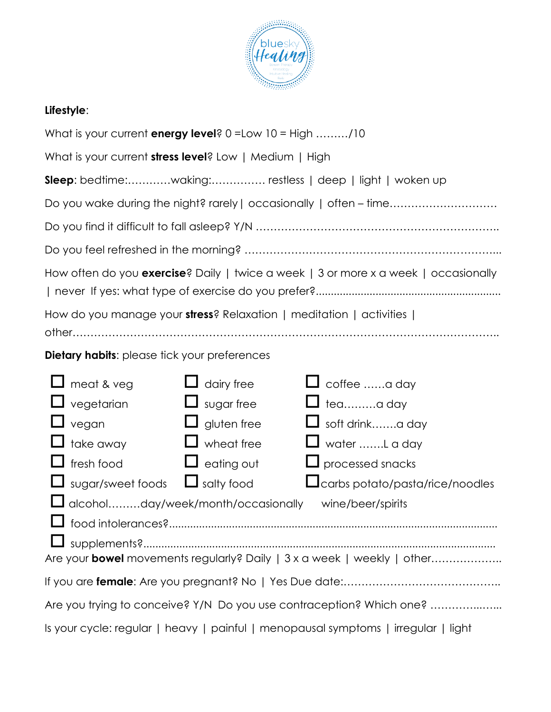

## **Lifestyle**:

| What is your current energy level? $0 = Low 10 = High$ /10                         |                    |                                                                                     |  |  |  |
|------------------------------------------------------------------------------------|--------------------|-------------------------------------------------------------------------------------|--|--|--|
| What is your current stress level? Low   Medium   High                             |                    |                                                                                     |  |  |  |
| <b>Sleep</b> : bedtime:waking: restless   deep   light   woken up                  |                    |                                                                                     |  |  |  |
| Do you wake during the night? rarely   occasionally   often - time                 |                    |                                                                                     |  |  |  |
|                                                                                    |                    |                                                                                     |  |  |  |
|                                                                                    |                    |                                                                                     |  |  |  |
|                                                                                    |                    | How often do you exercise? Daily   twice a week   3 or more x a week   occasionally |  |  |  |
| How do you manage your stress? Relaxation   meditation   activities                |                    |                                                                                     |  |  |  |
|                                                                                    |                    |                                                                                     |  |  |  |
| <b>Dietary habits:</b> please tick your preferences                                |                    |                                                                                     |  |  |  |
| $\Box$ meat & veg                                                                  | $\Box$ dairy free  | coffee a day                                                                        |  |  |  |
| $\Box$ vegetarian                                                                  | $\Box$ sugar free  | $\Box$ teaa day                                                                     |  |  |  |
| $\Box$ vegan                                                                       | $\Box$ gluten free | $\Box$ soft drinka day                                                              |  |  |  |
| $\Box$ take away                                                                   | wheat free         | $\Box$ water L a day                                                                |  |  |  |
| $\Box$ fresh food                                                                  | $\Box$ eating out  | $\Box$ processed snacks                                                             |  |  |  |
| $\Box$ sugar/sweet foods $\Box$ salty food                                         |                    | Loarbs potato/pasta/rice/noodles                                                    |  |  |  |
| □ alcoholday/week/month/occasionally<br>wine/beer/spirits                          |                    |                                                                                     |  |  |  |
|                                                                                    |                    |                                                                                     |  |  |  |
|                                                                                    |                    | Are your <b>bowel</b> movements regularly? Daily   3 x a week   weekly   other      |  |  |  |
|                                                                                    |                    |                                                                                     |  |  |  |
| Are you trying to conceive? Y/N Do you use contraception? Which one?               |                    |                                                                                     |  |  |  |
| Is your cycle: regular   heavy   painful   menopausal symptoms   irregular   light |                    |                                                                                     |  |  |  |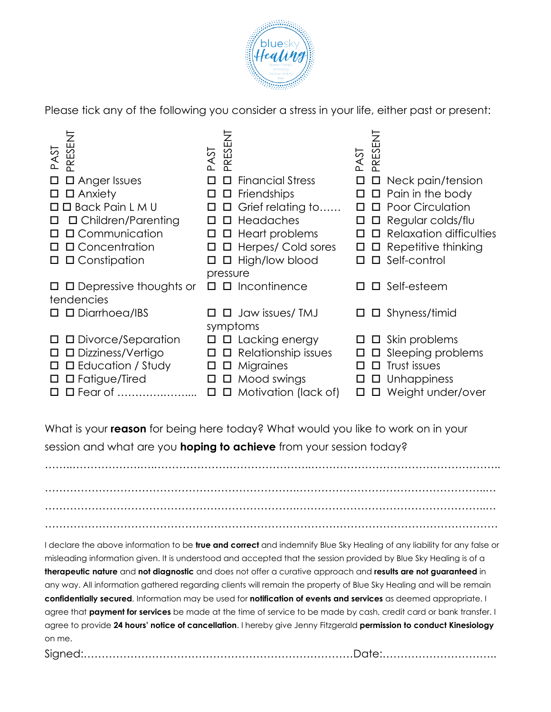

Please tick any of the following you consider a stress in your life, either past or present:

| PRESENT<br>PAST                      | PRESENT<br>ESA                    | PRESENT<br><b>PAST</b>                  |
|--------------------------------------|-----------------------------------|-----------------------------------------|
| $\square$ Anger Issues               | <b>Financial Stress</b><br>$\Box$ | $\Box$<br>$\Box$ Neck pain/tension      |
| $\square$ Anxiety<br>□               | Friendships<br>$\Box$<br>$\Box$   | $\Box$ Pain in the body<br>$\Box$       |
| $\Box$ $\Box$ Back Pain L M U        | Grief relating to<br>$\Box$<br>□  | □ Poor Circulation<br>$\Box$            |
| $\Box$ Children/Parenting<br>□       | $\Box$ Headaches<br>□             | □ Regular colds/flu<br>$\Box$           |
| □ Communication<br>П                 | $\Box$ Heart problems<br>$\Box$   | $\Box$ Relaxation difficulties          |
| □ Concentration                      | $\Box$ Herpes/ Cold sores<br>□    | Repetitive thinking<br>$\Box$<br>$\Box$ |
| $\Box$ Constipation<br>Ш             | $\Box$ High/low blood<br>□        | $\square$ Self-control<br>$\Box$        |
|                                      | pressure                          |                                         |
| $\Box$ $\Box$ Depressive thoughts or | $\Box$ Incontinence<br>П.         | Self-esteem<br>$\Box$                   |
| tendencies                           |                                   |                                         |
| □ Diarrhoea/IBS                      | $\Box$ Jaw issues/ TMJ<br>П.      | Shyness/timid<br>$\Box$                 |
|                                      | symptoms                          |                                         |
| □ Divorce/Separation<br>□            | $\Box$ $\Box$ Lacking energy      | $\Box$ Skin problems<br>$\Box$          |
| □ Dizziness/Vertigo<br>$\Box$        | $\Box$ $\Box$ Relationship issues | $\square$ Sleeping problems<br>$\Box$   |
| $\square$ Education / Study<br>□     | Migraines<br>$\Box$<br>$\Box$     | Trust issues<br>$\Box$                  |
| $\square$ Fatigue/Tired<br>□         | Mood swings<br>$\Box$<br>$\Box$   | $\square$ Unhappiness<br>$\Box$         |
| □ Fear of                            | Motivation (lack of)<br>$\Box$    | Weight under/over<br>□                  |

What is your **reason** for being here today? What would you like to work on in your session and what are you **hoping to achieve** from your session today?

…………………………………………………………….……………………………………………..… …………………………………………………………….……………………………………………..… ………………………………………………………………………………………………………………

……..……………….….……………………………………..……………………………………………..

I declare the above information to be **true and correct** and indemnify Blue Sky Healing of any liability for any false or misleading information given. It is understood and accepted that the session provided by Blue Sky Healing is of a **therapeutic nature** and **not diagnostic** and does not offer a curative approach and **results are not guaranteed** in any way. All information gathered regarding clients will remain the property of Blue Sky Healing and will be remain **confidentially secured**. Information may be used for **notification of events and services** as deemed appropriate. I agree that **payment for services** be made at the time of service to be made by cash, credit card or bank transfer. I agree to provide **24 hours' notice of cancellation**. I hereby give Jenny Fitzgerald **permission to conduct Kinesiology** on me.

Signed:…………………………………………………………………Date:…………………………..